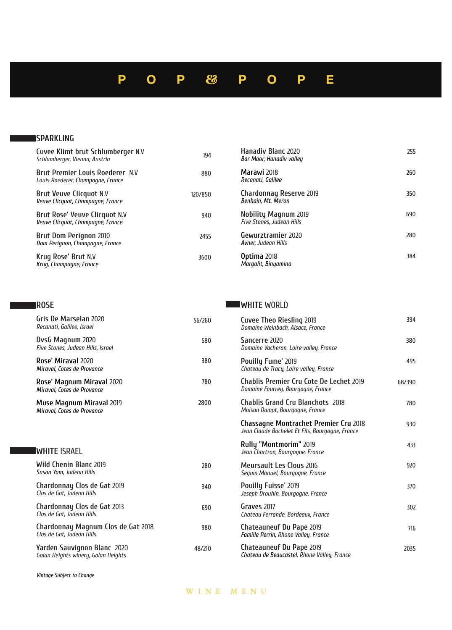### Ε P O P 83 D  $\Omega$ P

### **SPARKLING**

| Cuvee Klimt brut Schlumberger N.V<br>Schlumberger, Vienna, Austria          | 194     | Hanadiy Blanc 2020<br>Bar Maor, Hanadiv valley                  | 255 |
|-----------------------------------------------------------------------------|---------|-----------------------------------------------------------------|-----|
| <b>Brut Premier Louis Roederer N.V</b><br>Louis Roederer, Champagne, France | 880     | Marawi 2018<br>Recanati, Galilee                                | 260 |
| Brut Veuve Clicquot N.V<br>Veuve Clicquot, Champagne, France                | 120/850 | Chardonnay Reserve 2019<br>Benhain, Mt. Meron                   | 350 |
| Brut Rose' Veuve Clicquot N.V<br>Veuve Clicquot, Champagne, France          | 940     | <b>Nobility Magnum 2019</b><br><b>Five Stones, Judean Hills</b> | 690 |
| Brut Dom Perignon 2010<br>Dom Perignon, Champagne, France                   | 2455    | Gewurztramier 2020<br>Avner, Judean Hills                       | 280 |
| Krug Rose' Brut N.V<br>Krug, Champagne, France                              | 3600    | Optima 2018<br>Margalit, Binyamina                              | 384 |

### **ROSE**

**Gris De Marselan 2020**<br>*Recanati, Galilee, Israel* **DvsG Magnum 2020**<br>Five Stones, Judean Hills, Israel 2020 **Miraval' Rose** *Miraval, Cotes de Provance* 2020 **Miraval Magnum' Rose** *Miraval, Cotes de Provance* 2019 **Miraval Magnum Muse** *Miraval, Cotes de Provance* **WHITE ISRAEL Wild Chenin Blanc 2019 Suson Yam, Judean Hills Chardonnay Clos de Gat 2019**<br>*Clos de Gat, Judean Hills* **Chardonnay Clos de Gat 2013**<br>*Clos de Gat, Judean Hills* **Chardonnay Magnum Clos de Gat 2018**<br>*Clos de Gat, Judean Hills* **WHITE** WORLD **Cuvee Theo Riesling 2019**<br>*Domaine Weinbach, Alsace, France* **Sancerre** 2020<br>*Domaine Vacheron, Loire valley, France* **Pouilly Fume'** 2019<br>Chateau de Tracy, Loire valley, France **Chablis Premier Cru Cote De Lechet 2019** Domaine Fourrey, Bourgogne, France **Chablis Grand Cru Blanchots 2018** *Maison Dampt, Bourgogne, France* **Chassagne Montrachet Premier Cru 2018** Jean Claude Bachelet Et Fils, Bourgogne, France **Rully "Montmorim" 2019 Jean Chartron, Bourgogne, France Meursault Les Clous 2016**<br>Seguin Manuel, Bourgogne, France **Pouilly Fuisse' 2019**<br>Jeseph Drouhin, Bourgogne, France **Graves 2017**<br>Chateau Ferrande, Bordeaux, France 2019 **Pape Du Chateauneuf Famille Perrin, Rhone Valley, France** 56/260 580 380 780 2800 280 340 690 980 394 380 495 68/390 780 930 433 920 370 302 716

**Yarden Sauvignon Blanc 2020**<br>*Golan Heights winery, Golan Heights* 

**Vintage Subject to Change** 

2019 **Pape Du Chateauneuf**

**Chateau de Beaucastel, Rhone Valley, France** 

2035

WINE MENU

48/210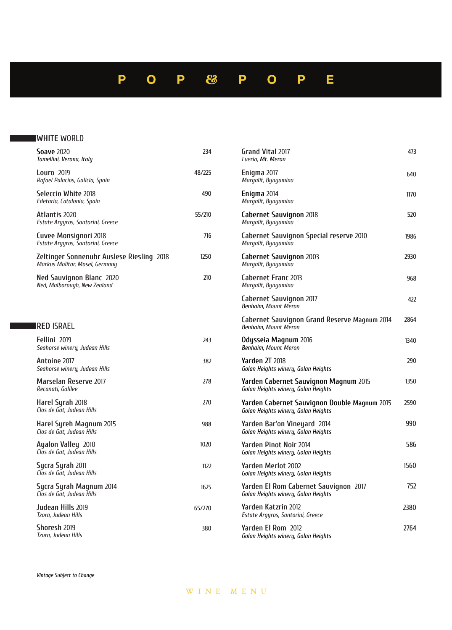### P 83 E  $\overline{O}$ P P  $\overline{O}$ P

## **WHITE** WORLD

| <b>Soave 2020</b><br>Tamellini, Verona, Italy                                      | 234    |
|------------------------------------------------------------------------------------|--------|
| Louro 2019<br>Rafael Palacios, Galicia, Spain                                      | 48/225 |
| Seleccio White 2018<br>Edetaria, Catalonia, Spain                                  | 490    |
| Atlantis 2020<br>Estate Argyros, Santorini, Greece                                 | 55/210 |
| Cuvee Monsignori 2018<br>Estate Argyros, Santorini, Greece                         | 716    |
| <b>Zeltinger Sonnenuhr Auslese Riesling 2018</b><br>Markus Molitor, Mosel, Germany | 1250   |
| Ned Sauvignon Blanc 2020<br>Ned, Malborough, New Zealand                           | 210    |

## **ISRAEL**

| Fellini 2019<br>Seahorse winery, Judean Hills        | 243    | 0c<br>Вe  |
|------------------------------------------------------|--------|-----------|
| Antoine 2017<br>Seahorse winery, Judean Hills        | 382    | Ya<br>Gо  |
| <b>Marselan Reserve 2017</b><br>Recanati, Galilee    | 278    | Ya<br>Gо  |
| Harel Syrah 2018<br>Clos de Gat, Judean Hills        | 270    | Ya<br>Gо  |
| Harel Syreh Magnum 2015<br>Clos de Gat, Judean Hills | 988    | Ya<br>Gо  |
| Ayalon Valley 2010<br>Clos de Gat, Judean Hills      | 1020   | Ya<br>Gо  |
| Sycra Syrah 2011<br>Clos de Gat, Judean Hills        | 1122   | Ya<br>Gо  |
| Sycra Syrah Magnum 2014<br>Clos de Gat, Judean Hills | 1625   | Ya<br>Gо  |
| Judean Hills 2019<br>Tzora, Judean Hills             | 65/270 | Ya<br>Esi |
| Shoresh 2019<br>Tzora, Judean Hills                  | 380    | Ya<br>Gо  |

| Grand Vital 2017<br>Lueria, Mt. Meron                                               | 473  |
|-------------------------------------------------------------------------------------|------|
| Enigma 2017<br>Margalit, Bynyamina                                                  | 640  |
| Enigma 2014<br>Margalit, Bynyamina                                                  | 1170 |
| Cabernet Sauvignon 2018<br>Margalit, Bynyamina                                      | 520  |
| <b>Cabernet Sauvignon Special reserve 2010</b><br>Margalit, Bynyamina               | 1986 |
| Cabernet Sauvignon 2003<br>Margalit, Bynyamina                                      | 2930 |
| <b>Cabernet Franc 2013</b><br>Margalit, Bynyamina                                   | 968  |
| <b>Cabernet Sauvignon 2017</b><br><b>Benhaim, Mount Meron</b>                       | 422  |
| <b>Cabernet Sauvignon Grand Reserve Magnum 2014</b><br>Benhaim, Mount Meron         | 2864 |
| Odysseia Magnum 2016<br><b>Benhaim, Mount Meron</b>                                 | 1340 |
| <b>Yarden 2T 2018</b><br>Golan Heights winery, Golan Heights                        | 290  |
| Yarden Cabernet Sauvignon Magnum 2015<br>Golan Heights winery, Golan Heights        | 1350 |
| Yarden Cabernet Sauvignon Double Magnum 2015<br>Golan Heights winery, Golan Heights | 2590 |
| Yarden Bar'on Vineyard 2014<br>Golan Heights winery, Golan Heights                  | 990  |
| <b>Yarden Pinot Noir 2014</b><br>Golan Heights winery, Golan Heights                | 586  |
| Yarden Merlot 2002<br>Golan Heights winery, Golan Heights                           | 1560 |
| Yarden El Rom Cabernet Sauvignon 2017<br>Golan Heights winery, Golan Heights        | 752  |
| Yarden Katzrin 2012<br>Estate Argyros, Santorini, Greece                            | 2380 |
|                                                                                     |      |

2764 **Yarden El Rom** 2012<br>*Golan Heights winery, Golan Heights*